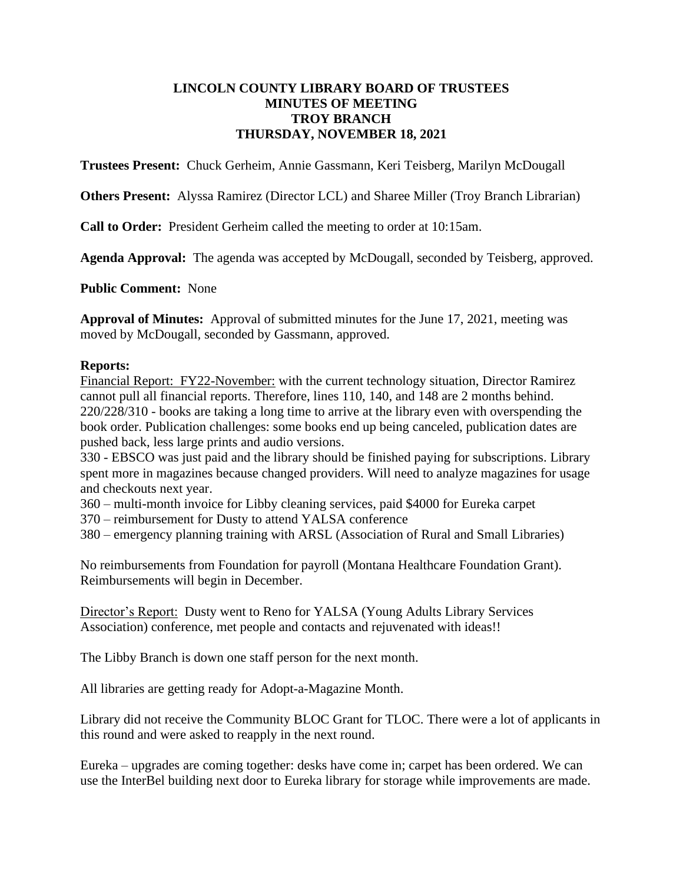#### **LINCOLN COUNTY LIBRARY BOARD OF TRUSTEES MINUTES OF MEETING TROY BRANCH THURSDAY, NOVEMBER 18, 2021**

**Trustees Present:** Chuck Gerheim, Annie Gassmann, Keri Teisberg, Marilyn McDougall

**Others Present:** Alyssa Ramirez (Director LCL) and Sharee Miller (Troy Branch Librarian)

**Call to Order:** President Gerheim called the meeting to order at 10:15am.

**Agenda Approval:** The agenda was accepted by McDougall, seconded by Teisberg, approved.

**Public Comment:** None

**Approval of Minutes:** Approval of submitted minutes for the June 17, 2021, meeting was moved by McDougall, seconded by Gassmann, approved.

#### **Reports:**

Financial Report: FY22-November: with the current technology situation, Director Ramirez cannot pull all financial reports. Therefore, lines 110, 140, and 148 are 2 months behind. 220/228/310 - books are taking a long time to arrive at the library even with overspending the book order. Publication challenges: some books end up being canceled, publication dates are pushed back, less large prints and audio versions.

330 - EBSCO was just paid and the library should be finished paying for subscriptions. Library spent more in magazines because changed providers. Will need to analyze magazines for usage and checkouts next year.

360 – multi-month invoice for Libby cleaning services, paid \$4000 for Eureka carpet

370 – reimbursement for Dusty to attend YALSA conference

380 – emergency planning training with ARSL (Association of Rural and Small Libraries)

No reimbursements from Foundation for payroll (Montana Healthcare Foundation Grant). Reimbursements will begin in December.

Director's Report: Dusty went to Reno for YALSA (Young Adults Library Services Association) conference, met people and contacts and rejuvenated with ideas!!

The Libby Branch is down one staff person for the next month.

All libraries are getting ready for Adopt-a-Magazine Month.

Library did not receive the Community BLOC Grant for TLOC. There were a lot of applicants in this round and were asked to reapply in the next round.

Eureka – upgrades are coming together: desks have come in; carpet has been ordered. We can use the InterBel building next door to Eureka library for storage while improvements are made.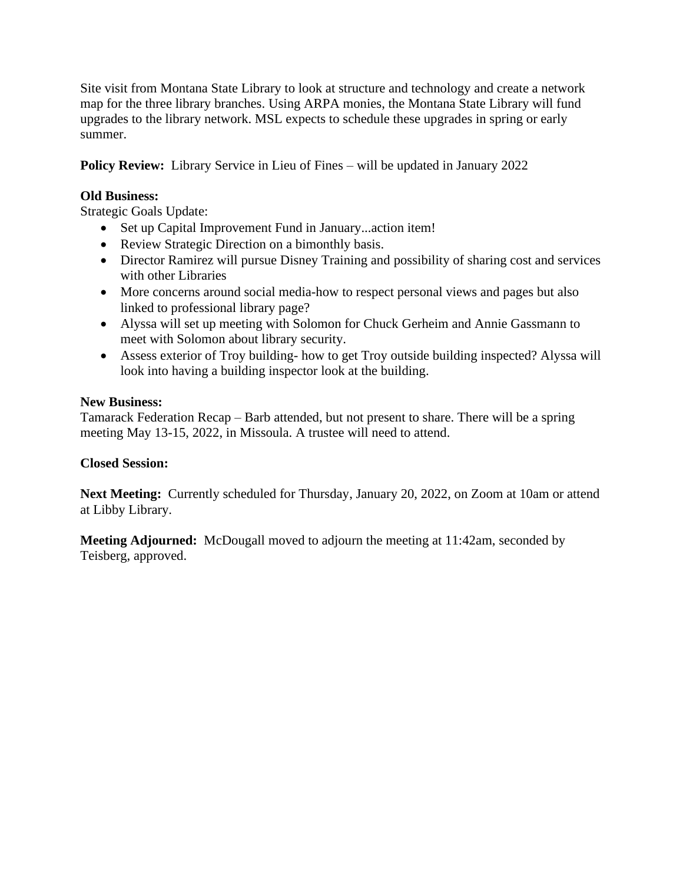Site visit from Montana State Library to look at structure and technology and create a network map for the three library branches. Using ARPA monies, the Montana State Library will fund upgrades to the library network. MSL expects to schedule these upgrades in spring or early summer.

**Policy Review:** Library Service in Lieu of Fines – will be updated in January 2022

#### **Old Business:**

Strategic Goals Update:

- Set up Capital Improvement Fund in January...action item!
- Review Strategic Direction on a bimonthly basis.
- Director Ramirez will pursue Disney Training and possibility of sharing cost and services with other Libraries
- More concerns around social media-how to respect personal views and pages but also linked to professional library page?
- Alyssa will set up meeting with Solomon for Chuck Gerheim and Annie Gassmann to meet with Solomon about library security.
- Assess exterior of Troy building- how to get Troy outside building inspected? Alyssa will look into having a building inspector look at the building.

### **New Business:**

Tamarack Federation Recap – Barb attended, but not present to share. There will be a spring meeting May 13-15, 2022, in Missoula. A trustee will need to attend.

## **Closed Session:**

**Next Meeting:** Currently scheduled for Thursday, January 20, 2022, on Zoom at 10am or attend at Libby Library.

**Meeting Adjourned:** McDougall moved to adjourn the meeting at 11:42am, seconded by Teisberg, approved.